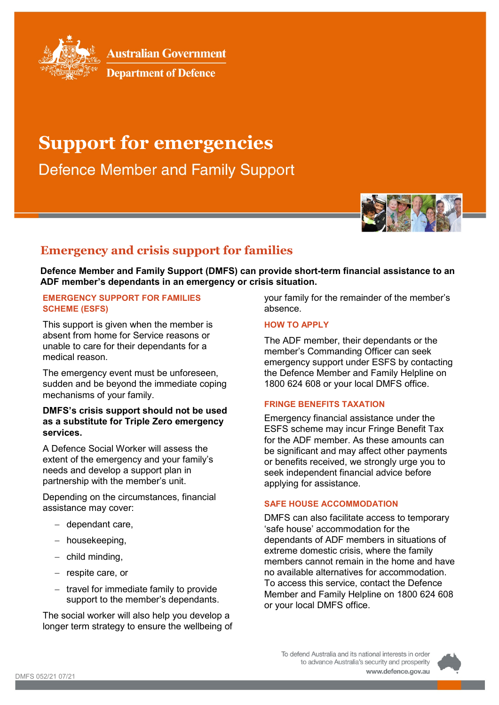

**Australian Government** 

**Department of Defence** 

# **Support for emergencies**

**Defence Member and Family Support** 



# **Emergency and crisis support for families**

**Defence Member and Family Support (DMFS) can provide short-term financial assistance to an ADF member's dependants in an emergency or crisis situation.**

#### **EMERGENCY SUPPORT FOR FAMILIES SCHEME (ESFS)**

This support is given when the member is absent from home for Service reasons or unable to care for their dependants for a medical reason.

The emergency event must be unforeseen, sudden and be beyond the immediate coping mechanisms of your family.

## **DMFS's crisis support should not be used as a substitute for Triple Zero emergency services.**

A Defence Social Worker will assess the extent of the emergency and your family's needs and develop a support plan in partnership with the member's unit.

Depending on the circumstances, financial assistance may cover:

- − dependant care,
- − housekeeping,
- − child minding,
- − respite care, or
- − travel for immediate family to provide support to the member's dependants.

The social worker will also help you develop a longer term strategy to ensure the wellbeing of your family for the remainder of the member's absence.

#### **HOW TO APPLY**

The ADF member, their dependants or the member's Commanding Officer can seek emergency support under ESFS by contacting the Defence Member and Family Helpline on 1800 624 608 or your local DMFS office.

## **FRINGE BENEFITS TAXATION**

Emergency financial assistance under the ESFS scheme may incur Fringe Benefit Tax for the ADF member. As these amounts can be significant and may affect other payments or benefits received, we strongly urge you to seek independent financial advice before applying for assistance.

#### **SAFE HOUSE ACCOMMODATION**

DMFS can also facilitate access to temporary 'safe house' accommodation for the dependants of ADF members in situations of extreme domestic crisis, where the family members cannot remain in the home and have no available alternatives for accommodation. To access this service, contact the Defence Member and Family Helpline on 1800 624 608 or your local DMFS office.